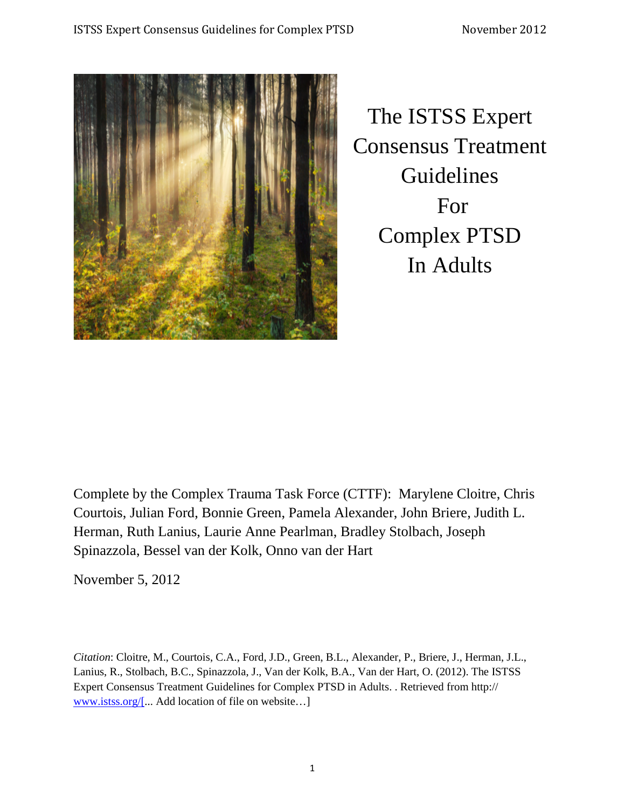

The ISTSS Expert Consensus Treatment Guidelines For Complex PTSD In Adults

Complete by the Complex Trauma Task Force (CTTF): Marylene Cloitre, Chris Courtois, Julian Ford, Bonnie Green, Pamela Alexander, John Briere, Judith L. Herman, Ruth Lanius, Laurie Anne Pearlman, Bradley Stolbach, Joseph Spinazzola, Bessel van der Kolk, Onno van der Hart

November 5, 2012

<span id="page-0-0"></span>*Citation*: Cloitre, M., Courtois, C.A., Ford, J.D., Green, B.L., Alexander, P., Briere, J., Herman, J.L., Lanius, R., Stolbach, B.C., Spinazzola, J., Van der Kolk, B.A., Van der Hart, O. (2012). The ISTSS Expert Consensus Treatment Guidelines for Complex PTSD in Adults. . Retrieved from http:// [www.istss.org/\[.](http://www.istss.org/%5b).. Add location of file on website…]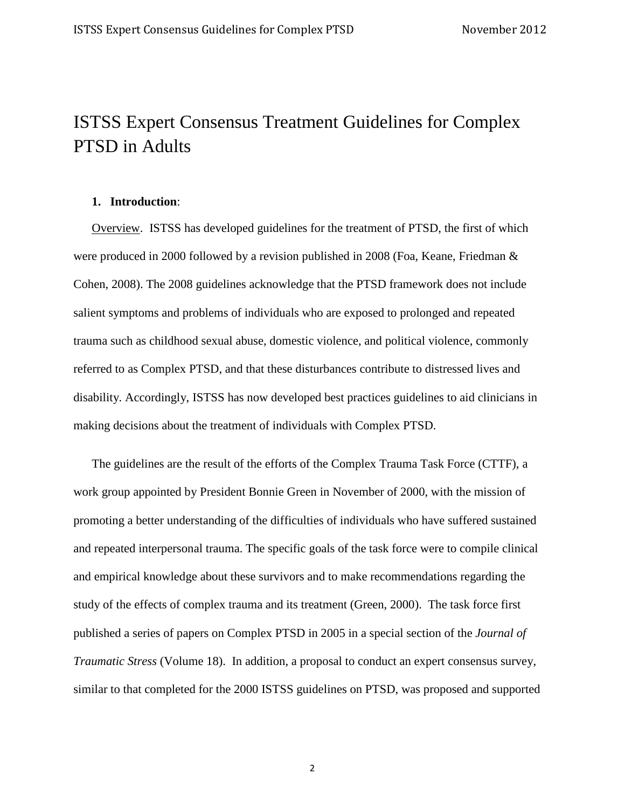# ISTSS Expert Consensus Treatment Guidelines for Complex PTSD in Adults

### **1. Introduction**:

Overview. ISTSS has developed guidelines for the treatment of PTSD, the first of which were produced in 2000 followed by a revision published in 2008 (Foa, Keane, Friedman & Cohen, 2008). The 2008 guidelines acknowledge that the PTSD framework does not include salient symptoms and problems of individuals who are exposed to prolonged and repeated trauma such as childhood sexual abuse, domestic violence, and political violence, commonly referred to as Complex PTSD, and that these disturbances contribute to distressed lives and disability. Accordingly, ISTSS has now developed best practices guidelines to aid clinicians in making decisions about the treatment of individuals with Complex PTSD.

The guidelines are the result of the efforts of the Complex Trauma Task Force (CTTF), a work group appointed by President Bonnie Green in November of 2000, with the mission of promoting a better understanding of the difficulties of individuals who have suffered sustained and repeated interpersonal trauma. The specific goals of the task force were to compile clinical and empirical knowledge about these survivors and to make recommendations regarding the study of the effects of complex trauma and its treatment (Green, 2000). The task force first published a series of papers on Complex PTSD in 2005 in a special section of the *Journal of Traumatic Stress* (Volume 18). In addition, a proposal to conduct an expert consensus survey, similar to that completed for the 2000 ISTSS guidelines on PTSD, was proposed and supported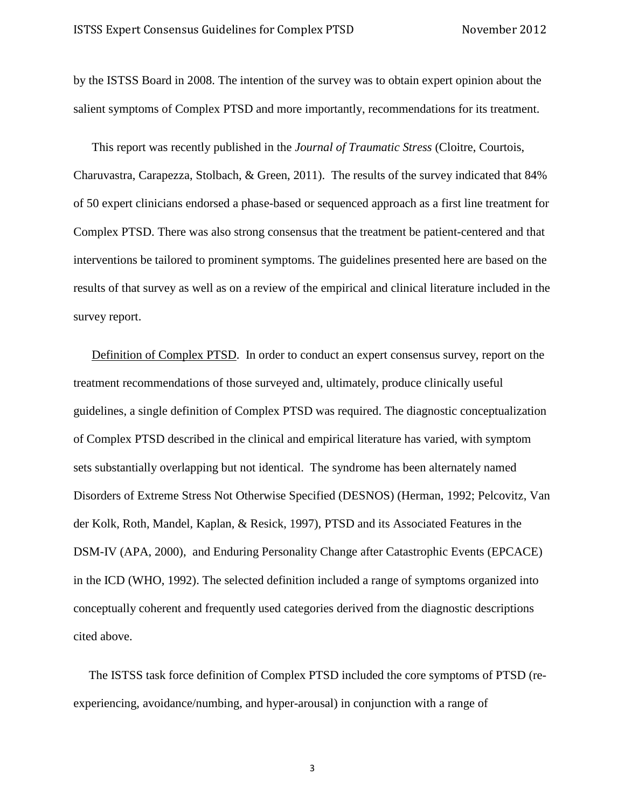by the ISTSS Board in 2008. The intention of the survey was to obtain expert opinion about the salient symptoms of Complex PTSD and more importantly, recommendations for its treatment.

This report was recently published in the *Journal of Traumatic Stress* (Cloitre, Courtois, Charuvastra, Carapezza, Stolbach, & Green, 2011). The results of the survey indicated that 84% of 50 expert clinicians endorsed a phase-based or sequenced approach as a first line treatment for Complex PTSD. There was also strong consensus that the treatment be patient-centered and that interventions be tailored to prominent symptoms. The guidelines presented here are based on the results of that survey as well as on a review of the empirical and clinical literature included in the survey report.

Definition of Complex PTSD. In order to conduct an expert consensus survey, report on the treatment recommendations of those surveyed and, ultimately, produce clinically useful guidelines, a single definition of Complex PTSD was required. The diagnostic conceptualization of Complex PTSD described in the clinical and empirical literature has varied, with symptom sets substantially overlapping but not identical. The syndrome has been alternately named Disorders of Extreme Stress Not Otherwise Specified (DESNOS) (Herman, 1992; Pelcovitz, Van der Kolk, Roth, Mandel, Kaplan, & Resick, 1997), PTSD and its Associated Features in the DSM-IV (APA, 2000), and Enduring Personality Change after Catastrophic Events (EPCACE) in the ICD (WHO, 1992). The selected definition included a range of symptoms organized into conceptually coherent and frequently used categories derived from the diagnostic descriptions cited above.

 The ISTSS task force definition of Complex PTSD included the core symptoms of PTSD (reexperiencing, avoidance/numbing, and hyper-arousal) in conjunction with a range of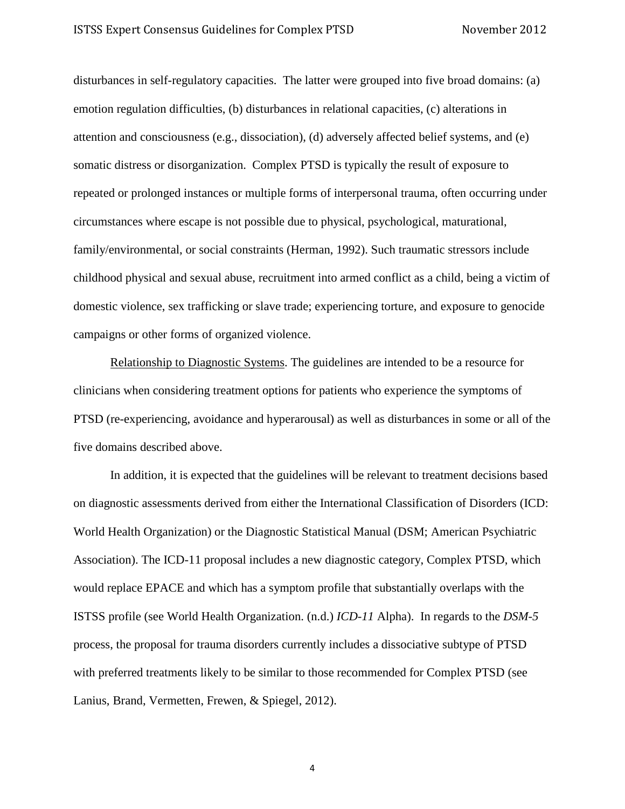disturbances in self-regulatory capacities. The latter were grouped into five broad domains: (a) emotion regulation difficulties, (b) disturbances in relational capacities, (c) alterations in attention and consciousness (e.g., dissociation), (d) adversely affected belief systems, and (e) somatic distress or disorganization. Complex PTSD is typically the result of exposure to repeated or prolonged instances or multiple forms of interpersonal trauma, often occurring under circumstances where escape is not possible due to physical, psychological, maturational, family/environmental, or social constraints (Herman, 1992). Such traumatic stressors include childhood physical and sexual abuse, recruitment into armed conflict as a child, being a victim of domestic violence, sex trafficking or slave trade; experiencing torture, and exposure to genocide campaigns or other forms of organized violence.

Relationship to Diagnostic Systems. The guidelines are intended to be a resource for clinicians when considering treatment options for patients who experience the symptoms of PTSD (re-experiencing, avoidance and hyperarousal) as well as disturbances in some or all of the five domains described above.

In addition, it is expected that the guidelines will be relevant to treatment decisions based on diagnostic assessments derived from either the International Classification of Disorders (ICD: World Health Organization) or the Diagnostic Statistical Manual (DSM; American Psychiatric Association). The ICD-11 proposal includes a new diagnostic category, Complex PTSD, which would replace EPACE and which has a symptom profile that substantially overlaps with the ISTSS profile (see World Health Organization. (n.d.) *ICD-11* Alpha). In regards to the *DSM-5* process, the proposal for trauma disorders currently includes a dissociative subtype of PTSD with preferred treatments likely to be similar to those recommended for Complex PTSD (see Lanius, Brand, Vermetten, Frewen, & Spiegel, 2012).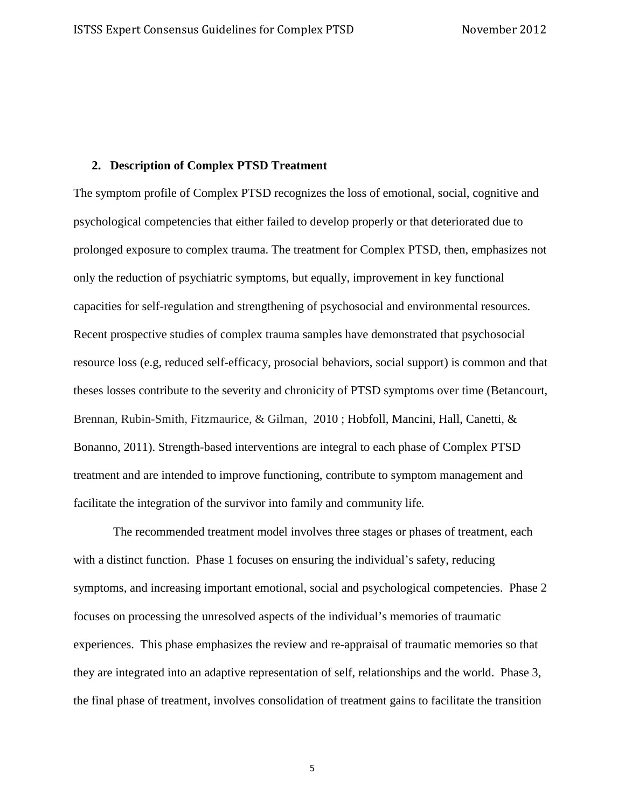#### **2. Description of Complex PTSD Treatment**

The symptom profile of Complex PTSD recognizes the loss of emotional, social, cognitive and psychological competencies that either failed to develop properly or that deteriorated due to prolonged exposure to complex trauma. The treatment for Complex PTSD, then, emphasizes not only the reduction of psychiatric symptoms, but equally, improvement in key functional capacities for self-regulation and strengthening of psychosocial and environmental resources. Recent prospective studies of complex trauma samples have demonstrated that psychosocial resource loss (e.g, reduced self-efficacy, prosocial behaviors, social support) is common and that theses losses contribute to the severity and chronicity of PTSD symptoms over time (Betancourt, Brennan, Rubin-Smith, Fitzmaurice, & Gilman, 2010 ; Hobfoll, Mancini, Hall, Canetti, & Bonanno, 2011). Strength-based interventions are integral to each phase of Complex PTSD treatment and are intended to improve functioning, contribute to symptom management and facilitate the integration of the survivor into family and community life*.*

The recommended treatment model involves three stages or phases of treatment, each with a distinct function. Phase 1 focuses on ensuring the individual's safety, reducing symptoms, and increasing important emotional, social and psychological competencies. Phase 2 focuses on processing the unresolved aspects of the individual's memories of traumatic experiences. This phase emphasizes the review and re-appraisal of traumatic memories so that they are integrated into an adaptive representation of self, relationships and the world. Phase 3, the final phase of treatment, involves consolidation of treatment gains to facilitate the transition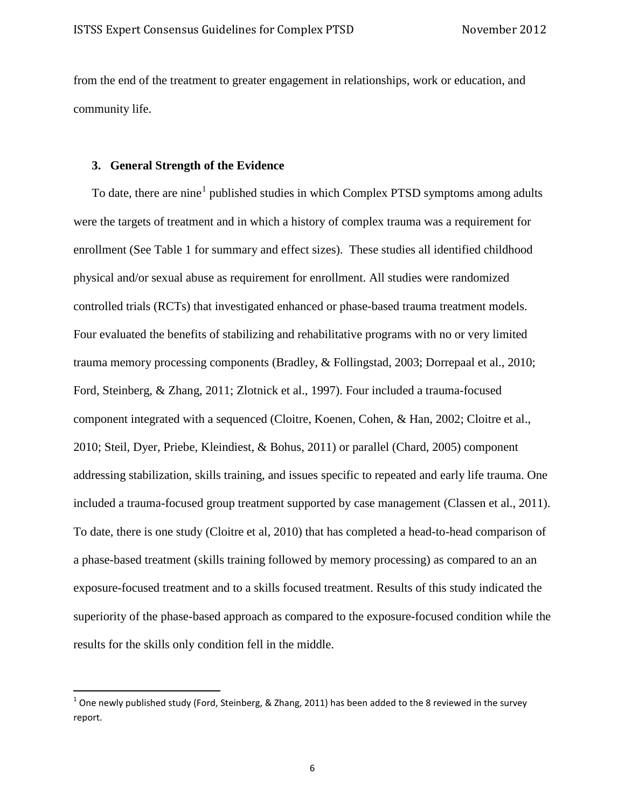from the end of the treatment to greater engagement in relationships, work or education, and community life.

#### **3. General Strength of the Evidence**

To date, there are nine<sup>[1](#page-0-0)</sup> published studies in which Complex PTSD symptoms among adults were the targets of treatment and in which a history of complex trauma was a requirement for enrollment (See Table 1 for summary and effect sizes). These studies all identified childhood physical and/or sexual abuse as requirement for enrollment. All studies were randomized controlled trials (RCTs) that investigated enhanced or phase-based trauma treatment models. Four evaluated the benefits of stabilizing and rehabilitative programs with no or very limited trauma memory processing components (Bradley, & Follingstad, 2003; Dorrepaal et al., 2010; Ford, Steinberg, & Zhang, 2011; Zlotnick et al., 1997). Four included a trauma-focused component integrated with a sequenced (Cloitre, Koenen, Cohen, & Han, 2002; Cloitre et al., 2010; Steil, Dyer, Priebe, Kleindiest, & Bohus, 2011) or parallel (Chard, 2005) component addressing stabilization, skills training, and issues specific to repeated and early life trauma. One included a trauma-focused group treatment supported by case management (Classen et al., 2011). To date, there is one study (Cloitre et al, 2010) that has completed a head-to-head comparison of a phase-based treatment (skills training followed by memory processing) as compared to an an exposure-focused treatment and to a skills focused treatment. Results of this study indicated the superiority of the phase-based approach as compared to the exposure-focused condition while the results for the skills only condition fell in the middle.

 $^1$  One newly published study (Ford, Steinberg, & Zhang, 2011) has been added to the 8 reviewed in the survey report.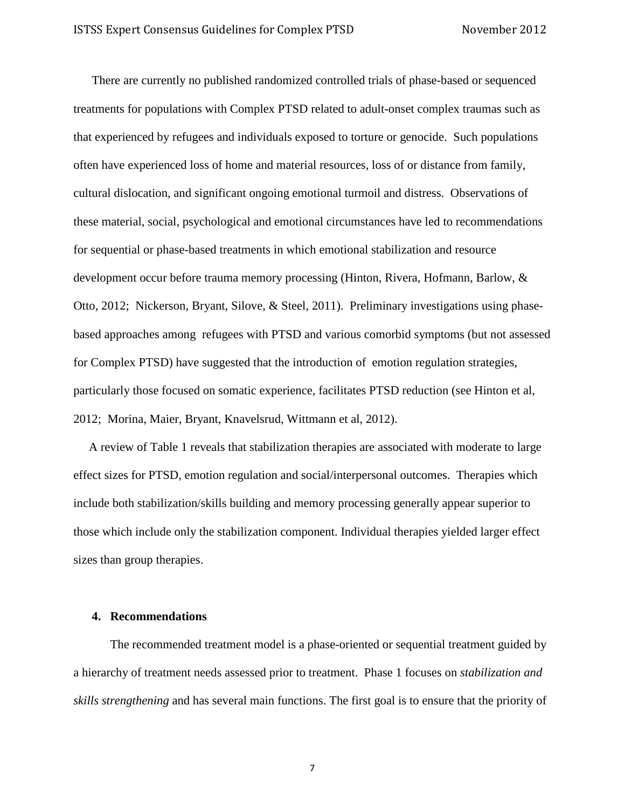There are currently no published randomized controlled trials of phase-based or sequenced treatments for populations with Complex PTSD related to adult-onset complex traumas such as that experienced by refugees and individuals exposed to torture or genocide. Such populations often have experienced loss of home and material resources, loss of or distance from family, cultural dislocation, and significant ongoing emotional turmoil and distress. Observations of these material, social, psychological and emotional circumstances have led to recommendations for sequential or phase-based treatments in which emotional stabilization and resource development occur before trauma memory processing (Hinton, Rivera, Hofmann, Barlow, & Otto, 2012; Nickerson, Bryant, Silove, & Steel, 2011). Preliminary investigations using phasebased approaches among refugees with PTSD and various comorbid symptoms (but not assessed for Complex PTSD) have suggested that the introduction of emotion regulation strategies, particularly those focused on somatic experience, facilitates PTSD reduction (see Hinton et al, 2012; Morina, Maier, Bryant, Knavelsrud, Wittmann et al, 2012).

 A review of Table 1 reveals that stabilization therapies are associated with moderate to large effect sizes for PTSD, emotion regulation and social/interpersonal outcomes. Therapies which include both stabilization/skills building and memory processing generally appear superior to those which include only the stabilization component. Individual therapies yielded larger effect sizes than group therapies.

#### **4. Recommendations**

The recommended treatment model is a phase-oriented or sequential treatment guided by a hierarchy of treatment needs assessed prior to treatment. Phase 1 focuses on *stabilization and skills strengthening* and has several main functions. The first goal is to ensure that the priority of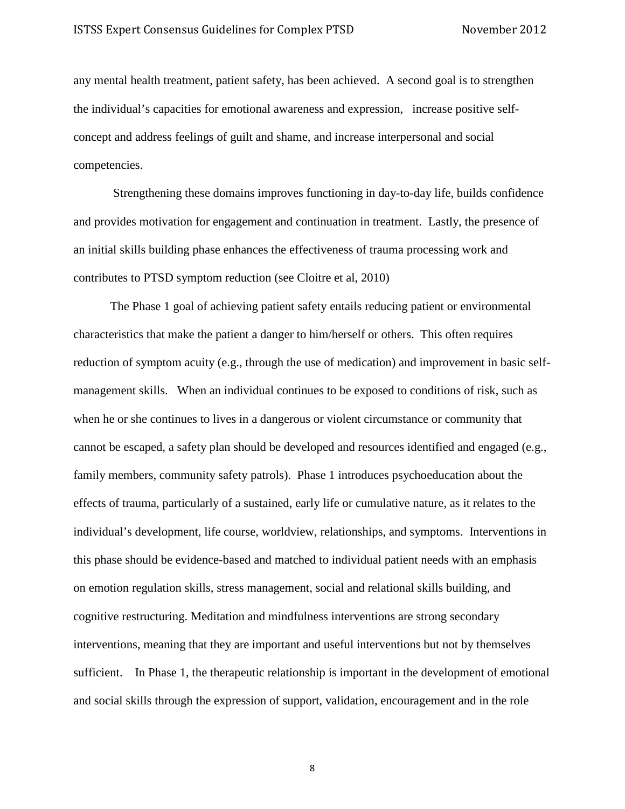any mental health treatment, patient safety, has been achieved. A second goal is to strengthen the individual's capacities for emotional awareness and expression, increase positive selfconcept and address feelings of guilt and shame, and increase interpersonal and social competencies.

Strengthening these domains improves functioning in day-to-day life, builds confidence and provides motivation for engagement and continuation in treatment. Lastly, the presence of an initial skills building phase enhances the effectiveness of trauma processing work and contributes to PTSD symptom reduction (see Cloitre et al, 2010)

The Phase 1 goal of achieving patient safety entails reducing patient or environmental characteristics that make the patient a danger to him/herself or others. This often requires reduction of symptom acuity (e.g., through the use of medication) and improvement in basic selfmanagement skills. When an individual continues to be exposed to conditions of risk, such as when he or she continues to lives in a dangerous or violent circumstance or community that cannot be escaped, a safety plan should be developed and resources identified and engaged (e.g., family members, community safety patrols). Phase 1 introduces psychoeducation about the effects of trauma, particularly of a sustained, early life or cumulative nature, as it relates to the individual's development, life course, worldview, relationships, and symptoms. Interventions in this phase should be evidence-based and matched to individual patient needs with an emphasis on emotion regulation skills, stress management, social and relational skills building, and cognitive restructuring. Meditation and mindfulness interventions are strong secondary interventions, meaning that they are important and useful interventions but not by themselves sufficient. In Phase 1, the therapeutic relationship is important in the development of emotional and social skills through the expression of support, validation, encouragement and in the role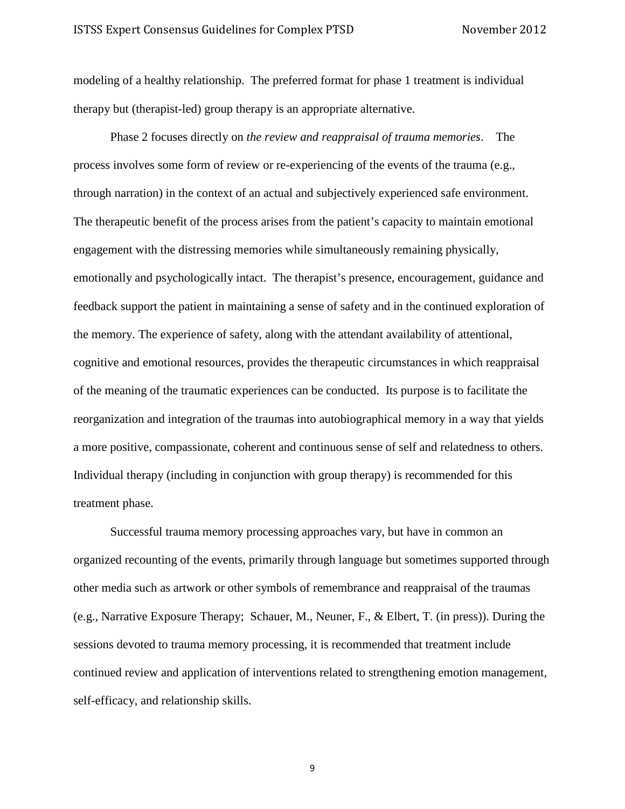modeling of a healthy relationship. The preferred format for phase 1 treatment is individual therapy but (therapist-led) group therapy is an appropriate alternative.

Phase 2 focuses directly on *the review and reappraisal of trauma memories*. The process involves some form of review or re-experiencing of the events of the trauma (e.g., through narration) in the context of an actual and subjectively experienced safe environment. The therapeutic benefit of the process arises from the patient's capacity to maintain emotional engagement with the distressing memories while simultaneously remaining physically, emotionally and psychologically intact. The therapist's presence, encouragement, guidance and feedback support the patient in maintaining a sense of safety and in the continued exploration of the memory. The experience of safety, along with the attendant availability of attentional, cognitive and emotional resources, provides the therapeutic circumstances in which reappraisal of the meaning of the traumatic experiences can be conducted. Its purpose is to facilitate the reorganization and integration of the traumas into autobiographical memory in a way that yields a more positive, compassionate, coherent and continuous sense of self and relatedness to others. Individual therapy (including in conjunction with group therapy) is recommended for this treatment phase.

Successful trauma memory processing approaches vary, but have in common an organized recounting of the events, primarily through language but sometimes supported through other media such as artwork or other symbols of remembrance and reappraisal of the traumas (e.g., Narrative Exposure Therapy; Schauer, M., Neuner, F., & Elbert, T. (in press)). During the sessions devoted to trauma memory processing, it is recommended that treatment include continued review and application of interventions related to strengthening emotion management, self-efficacy, and relationship skills.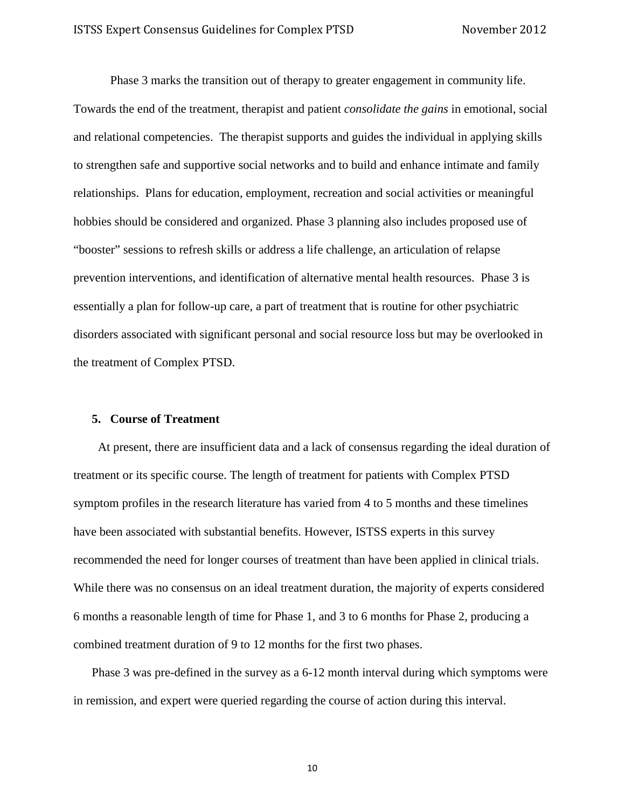Phase 3 marks the transition out of therapy to greater engagement in community life. Towards the end of the treatment, therapist and patient *consolidate the gains* in emotional, social and relational competencies. The therapist supports and guides the individual in applying skills to strengthen safe and supportive social networks and to build and enhance intimate and family relationships. Plans for education, employment, recreation and social activities or meaningful hobbies should be considered and organized. Phase 3 planning also includes proposed use of "booster" sessions to refresh skills or address a life challenge, an articulation of relapse prevention interventions, and identification of alternative mental health resources. Phase 3 is essentially a plan for follow-up care, a part of treatment that is routine for other psychiatric disorders associated with significant personal and social resource loss but may be overlooked in the treatment of Complex PTSD.

#### **5. Course of Treatment**

At present, there are insufficient data and a lack of consensus regarding the ideal duration of treatment or its specific course. The length of treatment for patients with Complex PTSD symptom profiles in the research literature has varied from 4 to 5 months and these timelines have been associated with substantial benefits. However, ISTSS experts in this survey recommended the need for longer courses of treatment than have been applied in clinical trials. While there was no consensus on an ideal treatment duration, the majority of experts considered 6 months a reasonable length of time for Phase 1, and 3 to 6 months for Phase 2, producing a combined treatment duration of 9 to 12 months for the first two phases.

Phase 3 was pre-defined in the survey as a 6-12 month interval during which symptoms were in remission, and expert were queried regarding the course of action during this interval.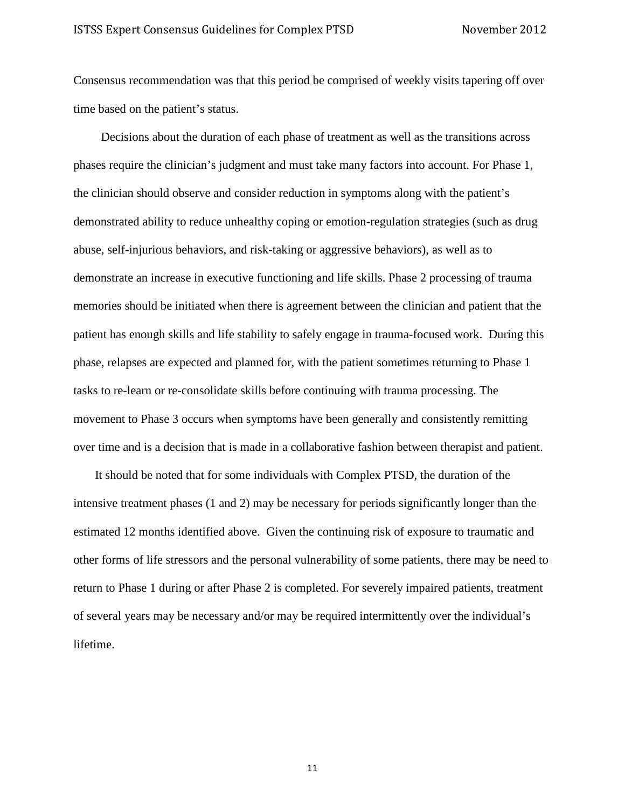Consensus recommendation was that this period be comprised of weekly visits tapering off over time based on the patient's status.

 Decisions about the duration of each phase of treatment as well as the transitions across phases require the clinician's judgment and must take many factors into account. For Phase 1, the clinician should observe and consider reduction in symptoms along with the patient's demonstrated ability to reduce unhealthy coping or emotion-regulation strategies (such as drug abuse, self-injurious behaviors, and risk-taking or aggressive behaviors), as well as to demonstrate an increase in executive functioning and life skills. Phase 2 processing of trauma memories should be initiated when there is agreement between the clinician and patient that the patient has enough skills and life stability to safely engage in trauma-focused work. During this phase, relapses are expected and planned for, with the patient sometimes returning to Phase 1 tasks to re-learn or re-consolidate skills before continuing with trauma processing. The movement to Phase 3 occurs when symptoms have been generally and consistently remitting over time and is a decision that is made in a collaborative fashion between therapist and patient.

It should be noted that for some individuals with Complex PTSD, the duration of the intensive treatment phases (1 and 2) may be necessary for periods significantly longer than the estimated 12 months identified above. Given the continuing risk of exposure to traumatic and other forms of life stressors and the personal vulnerability of some patients, there may be need to return to Phase 1 during or after Phase 2 is completed. For severely impaired patients, treatment of several years may be necessary and/or may be required intermittently over the individual's lifetime.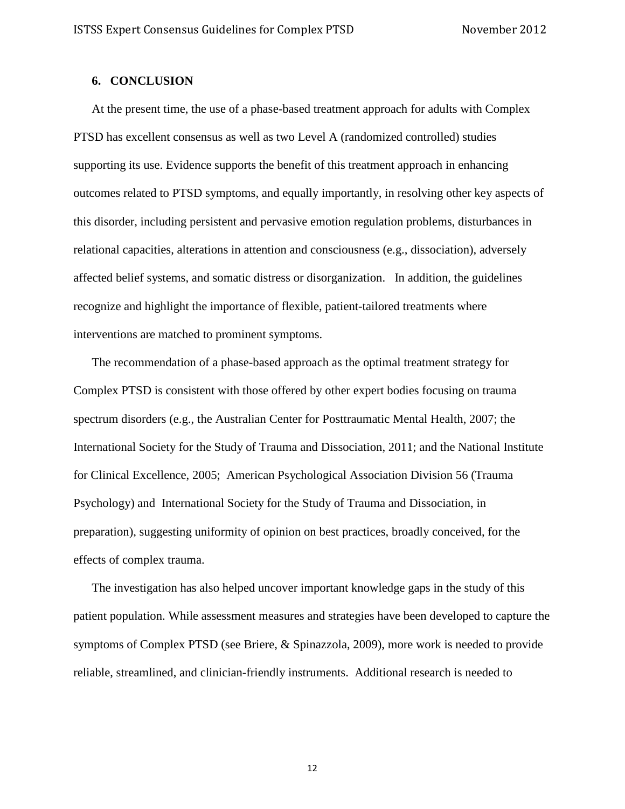## **6. CONCLUSION**

At the present time, the use of a phase-based treatment approach for adults with Complex PTSD has excellent consensus as well as two Level A (randomized controlled) studies supporting its use. Evidence supports the benefit of this treatment approach in enhancing outcomes related to PTSD symptoms, and equally importantly, in resolving other key aspects of this disorder, including persistent and pervasive emotion regulation problems, disturbances in relational capacities, alterations in attention and consciousness (e.g., dissociation), adversely affected belief systems, and somatic distress or disorganization. In addition, the guidelines recognize and highlight the importance of flexible, patient-tailored treatments where interventions are matched to prominent symptoms.

The recommendation of a phase-based approach as the optimal treatment strategy for Complex PTSD is consistent with those offered by other expert bodies focusing on trauma spectrum disorders (e.g., the Australian Center for Posttraumatic Mental Health, 2007; the International Society for the Study of Trauma and Dissociation, 2011; and the National Institute for Clinical Excellence, 2005; American Psychological Association Division 56 (Trauma Psychology) and International Society for the Study of Trauma and Dissociation, in preparation), suggesting uniformity of opinion on best practices, broadly conceived, for the effects of complex trauma.

The investigation has also helped uncover important knowledge gaps in the study of this patient population. While assessment measures and strategies have been developed to capture the symptoms of Complex PTSD (see Briere, & Spinazzola, 2009), more work is needed to provide reliable, streamlined, and clinician-friendly instruments. Additional research is needed to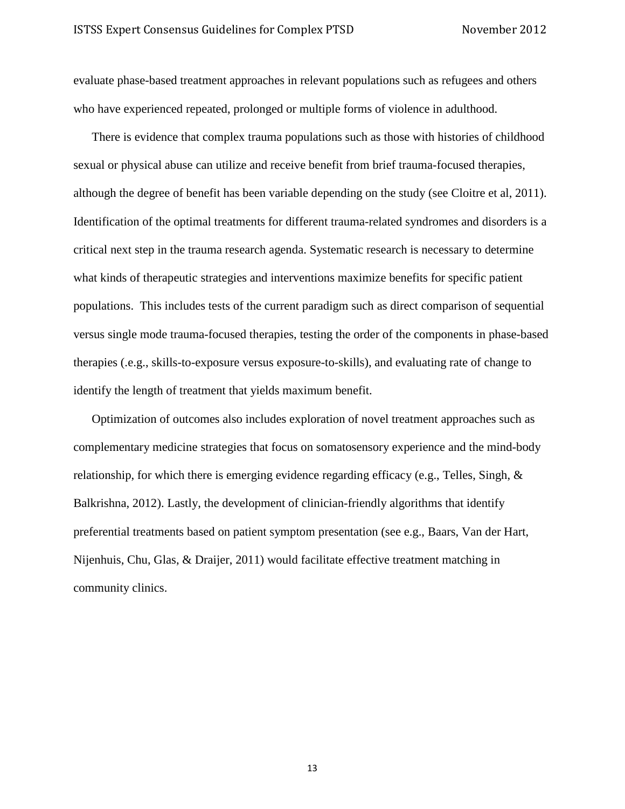evaluate phase-based treatment approaches in relevant populations such as refugees and others who have experienced repeated, prolonged or multiple forms of violence in adulthood.

There is evidence that complex trauma populations such as those with histories of childhood sexual or physical abuse can utilize and receive benefit from brief trauma-focused therapies, although the degree of benefit has been variable depending on the study (see Cloitre et al, 2011). Identification of the optimal treatments for different trauma-related syndromes and disorders is a critical next step in the trauma research agenda. Systematic research is necessary to determine what kinds of therapeutic strategies and interventions maximize benefits for specific patient populations. This includes tests of the current paradigm such as direct comparison of sequential versus single mode trauma-focused therapies, testing the order of the components in phase-based therapies (.e.g., skills-to-exposure versus exposure-to-skills), and evaluating rate of change to identify the length of treatment that yields maximum benefit.

Optimization of outcomes also includes exploration of novel treatment approaches such as complementary medicine strategies that focus on somatosensory experience and the mind-body relationship, for which there is emerging evidence regarding efficacy (e.g., Telles, Singh, & Balkrishna, 2012). Lastly, the development of clinician-friendly algorithms that identify preferential treatments based on patient symptom presentation (see e.g., Baars, Van der Hart, Nijenhuis, Chu, Glas, & Draijer, 2011) would facilitate effective treatment matching in community clinics.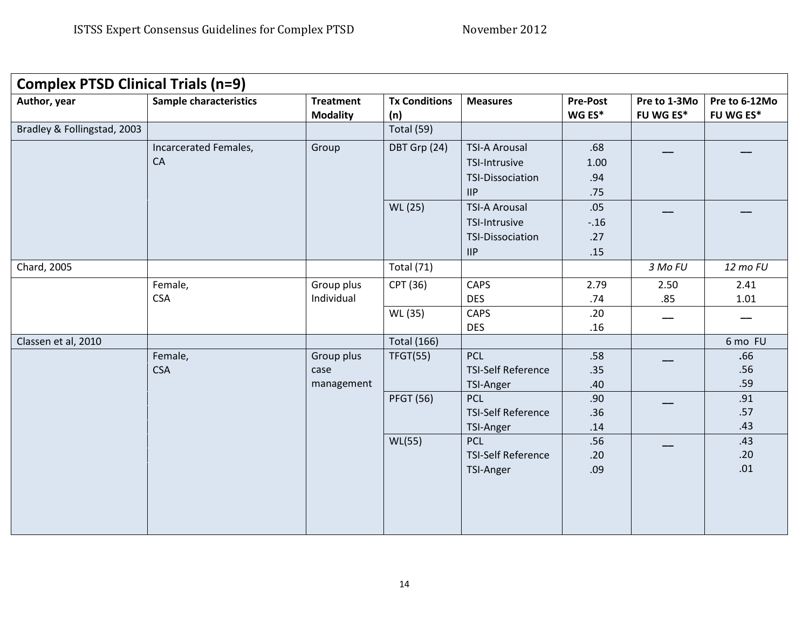| <b>Complex PTSD Clinical Trials (n=9)</b> |                               |                  |                      |                                         |                 |                  |                  |
|-------------------------------------------|-------------------------------|------------------|----------------------|-----------------------------------------|-----------------|------------------|------------------|
| Author, year                              | <b>Sample characteristics</b> | <b>Treatment</b> | <b>Tx Conditions</b> | <b>Measures</b>                         | <b>Pre-Post</b> | Pre to 1-3Mo     | Pre to 6-12Mo    |
|                                           |                               | <b>Modality</b>  | (n)                  |                                         | WG ES*          | <b>FU WG ES*</b> | <b>FU WG ES*</b> |
| Bradley & Follingstad, 2003               |                               |                  | Total (59)           |                                         |                 |                  |                  |
|                                           | Incarcerated Females,         | Group            | DBT Grp (24)         | <b>TSI-A Arousal</b>                    | .68             |                  |                  |
|                                           | CA                            |                  |                      | TSI-Intrusive                           | 1.00            |                  |                  |
|                                           |                               |                  |                      | <b>TSI-Dissociation</b>                 | .94             |                  |                  |
|                                           |                               |                  |                      | IIP                                     | .75             |                  |                  |
|                                           |                               |                  | WL (25)              | <b>TSI-A Arousal</b>                    | .05             |                  |                  |
|                                           |                               |                  |                      | TSI-Intrusive                           | $-.16$          |                  |                  |
|                                           |                               |                  |                      | TSI-Dissociation                        | .27             |                  |                  |
|                                           |                               |                  |                      | $\mathsf{HP}$                           | .15             |                  |                  |
| Chard, 2005                               |                               |                  | Total (71)           |                                         |                 | 3 Mo FU          | 12 mo FU         |
|                                           | Female,                       | Group plus       | CPT (36)             | CAPS                                    | 2.79            | 2.50             | 2.41             |
|                                           | <b>CSA</b>                    | Individual       |                      | <b>DES</b>                              | .74             | .85              | 1.01             |
|                                           |                               |                  | WL (35)              | <b>CAPS</b>                             | .20             |                  |                  |
|                                           |                               |                  |                      | <b>DES</b>                              | .16             |                  |                  |
| Classen et al, 2010                       |                               |                  | <b>Total (166)</b>   |                                         |                 |                  | 6 mo FU          |
|                                           | Female,                       | Group plus       | <b>TFGT(55)</b>      | PCL                                     | .58             |                  | .66              |
|                                           | <b>CSA</b>                    | case             |                      | <b>TSI-Self Reference</b>               | .35             |                  | .56              |
|                                           |                               | management       |                      | TSI-Anger                               | .40             |                  | .59              |
|                                           |                               |                  | <b>PFGT (56)</b>     | <b>PCL</b>                              | .90             |                  | .91              |
|                                           |                               |                  |                      | <b>TSI-Self Reference</b>               | .36             |                  | .57              |
|                                           |                               |                  |                      | TSI-Anger                               | .14             |                  | .43              |
|                                           |                               |                  | WL(55)               | <b>PCL</b><br><b>TSI-Self Reference</b> | .56             |                  | .43<br>.20       |
|                                           |                               |                  |                      |                                         | .20             |                  | .01              |
|                                           |                               |                  |                      | TSI-Anger                               | .09             |                  |                  |
|                                           |                               |                  |                      |                                         |                 |                  |                  |
|                                           |                               |                  |                      |                                         |                 |                  |                  |
|                                           |                               |                  |                      |                                         |                 |                  |                  |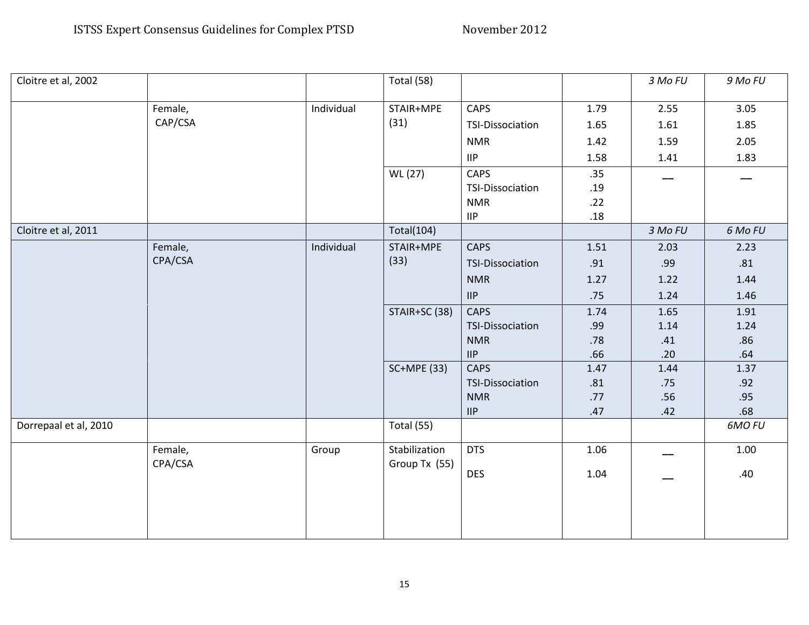| Cloitre et al, 2002   |         |            | Total (58)    |                                   |      | 3 Mo FU | 9 Mo FU  |
|-----------------------|---------|------------|---------------|-----------------------------------|------|---------|----------|
|                       | Female, | Individual | STAIR+MPE     | CAPS                              | 1.79 | 2.55    | 3.05     |
|                       | CAP/CSA |            | (31)          | <b>TSI-Dissociation</b>           | 1.65 | 1.61    | 1.85     |
|                       |         |            |               |                                   |      |         |          |
|                       |         |            |               | <b>NMR</b>                        | 1.42 | 1.59    | 2.05     |
|                       |         |            |               | <b>IIP</b>                        | 1.58 | 1.41    | 1.83     |
|                       |         |            | WL (27)       | CAPS                              | .35  |         |          |
|                       |         |            |               | TSI-Dissociation                  | .19  |         |          |
|                       |         |            |               | <b>NMR</b>                        | .22  |         |          |
|                       |         |            |               | $\ensuremath{\mathsf{HP}}\xspace$ | .18  |         |          |
| Cloitre et al, 2011   |         |            | Total(104)    |                                   |      | 3 Mo FU | 6 Mo FU  |
|                       | Female, | Individual | STAIR+MPE     | <b>CAPS</b>                       | 1.51 | 2.03    | 2.23     |
|                       | CPA/CSA |            | (33)          | <b>TSI-Dissociation</b>           | .91  | .99     | .81      |
|                       |         |            |               | <b>NMR</b>                        | 1.27 | 1.22    | 1.44     |
|                       |         |            |               | $\mathsf{HP}$                     | .75  | 1.24    | 1.46     |
|                       |         |            | STAIR+SC (38) | CAPS                              | 1.74 | 1.65    | 1.91     |
|                       |         |            |               | TSI-Dissociation                  | .99  | 1.14    | 1.24     |
|                       |         |            |               | <b>NMR</b>                        | .78  | .41     | .86      |
|                       |         |            |               | $\mathsf{HP}$                     | .66  | .20     | .64      |
|                       |         |            | SC+MPE (33)   | <b>CAPS</b>                       | 1.47 | 1.44    | 1.37     |
|                       |         |            |               | <b>TSI-Dissociation</b>           | .81  | .75     | .92      |
|                       |         |            |               | <b>NMR</b>                        | .77  | .56     | .95      |
|                       |         |            |               | $\mathsf{HP}$                     | .47  | .42     | .68      |
| Dorrepaal et al, 2010 |         |            | Total (55)    |                                   |      |         | 6MO FU   |
|                       | Female, | Group      | Stabilization | <b>DTS</b>                        | 1.06 |         | $1.00\,$ |
|                       | CPA/CSA |            | Group Tx (55) | <b>DES</b>                        | 1.04 |         | .40      |
|                       |         |            |               |                                   |      |         |          |
|                       |         |            |               |                                   |      |         |          |
|                       |         |            |               |                                   |      |         |          |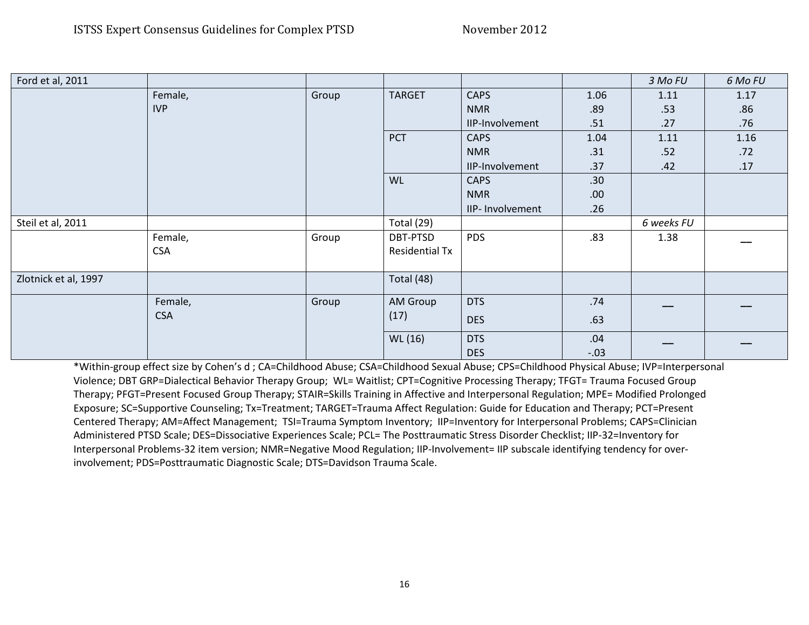| Ford et al, 2011     |            |       |                       |                  |                  | 3 Mo FU    | 6 Mo FU |
|----------------------|------------|-------|-----------------------|------------------|------------------|------------|---------|
|                      | Female,    | Group | <b>TARGET</b>         | <b>CAPS</b>      | 1.06             | 1.11       | 1.17    |
|                      | <b>IVP</b> |       |                       | <b>NMR</b>       | .89              | .53        | .86     |
|                      |            |       |                       | IIP-Involvement  | .51              | .27        | .76     |
|                      |            |       | PCT                   | <b>CAPS</b>      | 1.04             | 1.11       | 1.16    |
|                      |            |       |                       | <b>NMR</b>       | .31              | .52        | .72     |
|                      |            |       |                       | IIP-Involvement  | .37              | .42        | .17     |
|                      |            |       | <b>WL</b>             | <b>CAPS</b>      | .30 <sub>0</sub> |            |         |
|                      |            |       |                       | <b>NMR</b>       | .00.             |            |         |
|                      |            |       |                       | IIP- Involvement | .26              |            |         |
| Steil et al, 2011    |            |       | Total (29)            |                  |                  | 6 weeks FU |         |
|                      | Female,    | Group | DBT-PTSD              | <b>PDS</b>       | .83              | 1.38       |         |
|                      | <b>CSA</b> |       | <b>Residential Tx</b> |                  |                  |            |         |
|                      |            |       |                       |                  |                  |            |         |
| Zlotnick et al, 1997 |            |       | Total (48)            |                  |                  |            |         |
|                      | Female,    | Group | AM Group              | <b>DTS</b>       | .74              |            |         |
|                      | <b>CSA</b> |       | (17)                  | <b>DES</b>       | .63              |            |         |
|                      |            |       | WL (16)               | <b>DTS</b>       | .04              |            |         |
|                      |            |       |                       | <b>DES</b>       | $-.03$           |            |         |

\*Within-group effect size by Cohen's d ; CA=Childhood Abuse; CSA=Childhood Sexual Abuse; CPS=Childhood Physical Abuse; IVP=Interpersonal Violence; DBT GRP=Dialectical Behavior Therapy Group; WL= Waitlist; CPT=Cognitive Processing Therapy; TFGT= Trauma Focused Group Therapy; PFGT=Present Focused Group Therapy; STAIR=Skills Training in Affective and Interpersonal Regulation; MPE= Modified Prolonged Exposure; SC=Supportive Counseling; Tx=Treatment; TARGET=Trauma Affect Regulation: Guide for Education and Therapy; PCT=Present Centered Therapy; AM=Affect Management; TSI=Trauma Symptom Inventory; IIP=Inventory for Interpersonal Problems; CAPS=Clinician Administered PTSD Scale; DES=Dissociative Experiences Scale; PCL= The Posttraumatic Stress Disorder Checklist; IIP-32=Inventory for Interpersonal Problems-32 item version; NMR=Negative Mood Regulation; IIP-Involvement= IIP subscale identifying tendency for overinvolvement; PDS=Posttraumatic Diagnostic Scale; DTS=Davidson Trauma Scale.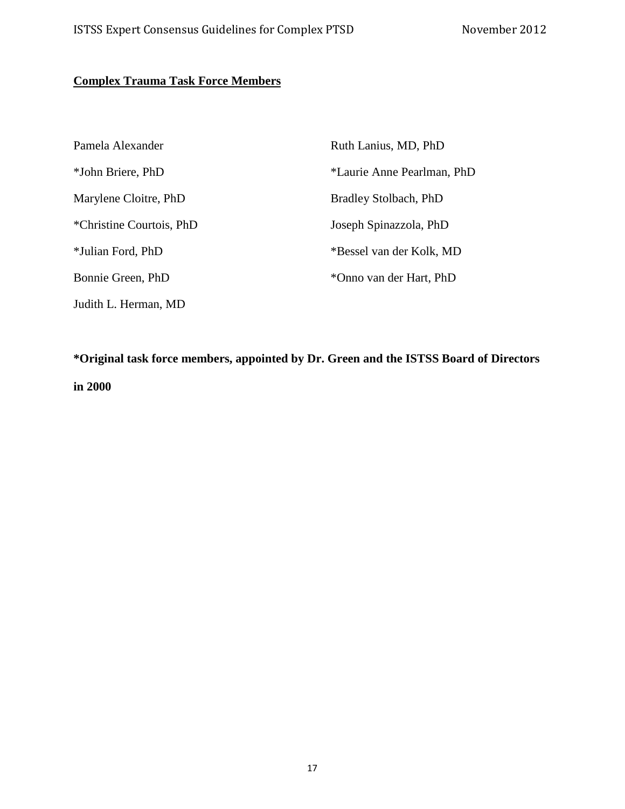# **Complex Trauma Task Force Members**

| Pamela Alexander         | Ruth Lanius, MD, PhD       |
|--------------------------|----------------------------|
| *John Briere, PhD        | *Laurie Anne Pearlman, PhD |
| Marylene Cloitre, PhD    | Bradley Stolbach, PhD      |
| *Christine Courtois, PhD | Joseph Spinazzola, PhD     |
| *Julian Ford, PhD        | *Bessel van der Kolk, MD   |
| Bonnie Green, PhD        | *Onno van der Hart, PhD    |
| Judith L. Herman, MD     |                            |

**\*Original task force members, appointed by Dr. Green and the ISTSS Board of Directors in 2000**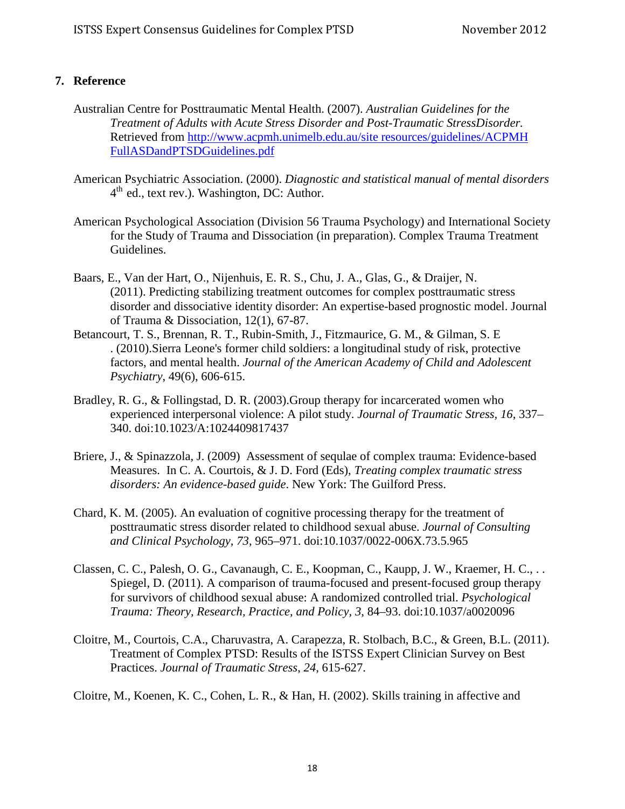# **7. Reference**

- Australian Centre for Posttraumatic Mental Health. (2007). *Australian Guidelines for the Treatment of Adults with Acute Stress Disorder and Post-Traumatic StressDisorder.*  Retrieved from [http://www.acpmh.unimelb.edu.au/site resources/guidelines/ACPMH](http://www.acpmh.unimelb.edu.au/site%20resources/guidelines/ACPMH%20FullASDandPTSDGuidelines.pdf)  [FullASDandPTSDGuidelines.pdf](http://www.acpmh.unimelb.edu.au/site%20resources/guidelines/ACPMH%20FullASDandPTSDGuidelines.pdf)
- American Psychiatric Association. (2000). *Diagnostic and statistical manual of mental disorders*   $4<sup>th</sup>$  ed., text rev.). Washington, DC: Author.
- American Psychological Association (Division 56 Trauma Psychology) and International Society for the Study of Trauma and Dissociation (in preparation). Complex Trauma Treatment Guidelines.
- Baars, E., Van der Hart, O., Nijenhuis, E. R. S., Chu, J. A., Glas, G., & Draijer, N. (2011). Predicting stabilizing treatment outcomes for complex posttraumatic stress disorder and dissociative identity disorder: An expertise-based prognostic model. Journal of Trauma & Dissociation, 12(1), 67-87.
- Betancourt, T. S., Brennan, R. T., Rubin-Smith, J., Fitzmaurice, G. M., & Gilman, S. E . (2010).Sierra Leone's former child soldiers: a longitudinal study of risk, protective factors, and mental health. *Journal of the American Academy of Child and Adolescent Psychiatry*, 49(6), 606-615.
- Bradley, R. G., & Follingstad, D. R. (2003).Group therapy for incarcerated women who experienced interpersonal violence: A pilot study. *Journal of Traumatic Stress, 16*, 337– 340. doi:10.1023/A:1024409817437
- Briere, J., & Spinazzola, J. (2009) Assessment of sequlae of complex trauma: Evidence-based Measures. In C. A. Courtois, & J. D. Ford (Eds), *Treating complex traumatic stress disorders: An evidence-based guide*. New York: The Guilford Press.
- Chard, K. M. (2005). An evaluation of cognitive processing therapy for the treatment of posttraumatic stress disorder related to childhood sexual abuse. *Journal of Consulting and Clinical Psychology, 73*, 965–971. doi:10.1037/0022-006X.73.5.965
- Classen, C. C., Palesh, O. G., Cavanaugh, C. E., Koopman, C., Kaupp, J. W., Kraemer, H. C., . . Spiegel, D. (2011). A comparison of trauma-focused and present-focused group therapy for survivors of childhood sexual abuse: A randomized controlled trial. *Psychological Trauma: Theory, Research, Practice, and Policy, 3*, 84–93. doi:10.1037/a0020096
- Cloitre, M., Courtois, C.A., Charuvastra, A. Carapezza, R. Stolbach, B.C., & Green, B.L. (2011). Treatment of Complex PTSD: Results of the ISTSS Expert Clinician Survey on Best Practices. *Journal of Traumatic Stress*, *24*, 615-627.

Cloitre, M., Koenen, K. C., Cohen, L. R., & Han, H. (2002). Skills training in affective and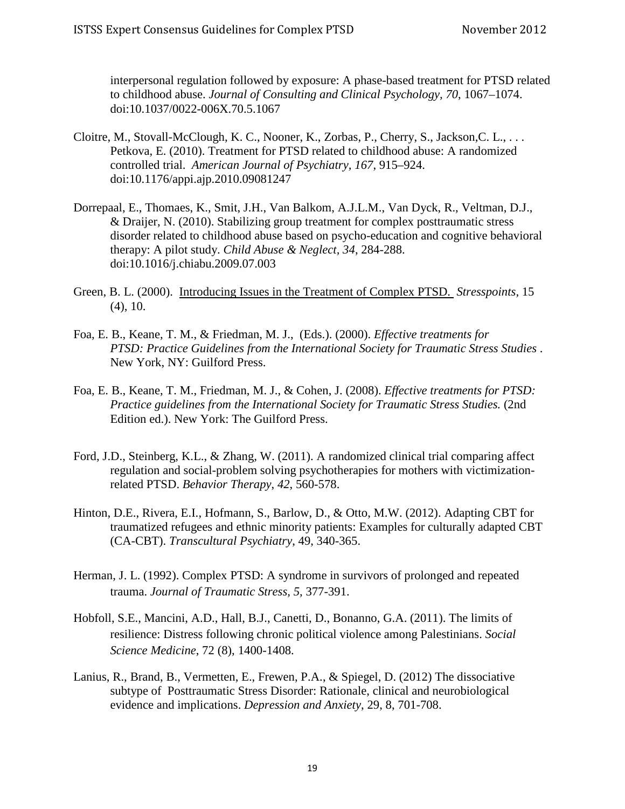interpersonal regulation followed by exposure: A phase-based treatment for PTSD related to childhood abuse. *Journal of Consulting and Clinical Psychology, 70*, 1067–1074. doi:10.1037/0022-006X.70.5.1067

- Cloitre, M., Stovall-McClough, K. C., Nooner, K., Zorbas, P., Cherry, S., Jackson,C. L., . . . Petkova, E. (2010). Treatment for PTSD related to childhood abuse: A randomized controlled trial. *American Journal of Psychiatry, 167*, 915–924. doi:10.1176/appi.ajp.2010.09081247
- Dorrepaal, E., Thomaes, K., Smit, J.H., Van Balkom, A.J.L.M., Van Dyck, R., Veltman, D.J., & Draijer, N. (2010). Stabilizing group treatment for complex posttraumatic stress disorder related to childhood abuse based on psycho-education and cognitive behavioral therapy: A pilot study. *Child Abuse & Neglect, 34*, 284-288. doi:10.1016/j.chiabu.2009.07.003
- Green, B. L. (2000). Introducing Issues in the Treatment of Complex PTSD. *Stresspoints,* 15 (4), 10.
- Foa, E. B., Keane, T. M., & Friedman, M. J., (Eds.). (2000). *Effective treatments for PTSD: Practice Guidelines from the International Society for Traumatic Stress Studies* . New York, NY: Guilford Press.
- Foa, E. B., Keane, T. M., Friedman, M. J., & Cohen, J. (2008). *Effective treatments for PTSD: Practice guidelines from the International Society for Traumatic Stress Studies.* (2nd Edition ed.). New York: The Guilford Press.
- Ford, J.D., Steinberg, K.L., & Zhang, W. (2011). A randomized clinical trial comparing affect regulation and social-problem solving psychotherapies for mothers with victimizationrelated PTSD. *Behavior Therapy*, *42*, 560-578.
- Hinton, D.E., Rivera, E.I., Hofmann, S., Barlow, D., & Otto, M.W. (2012). Adapting CBT for traumatized refugees and ethnic minority patients: Examples for culturally adapted CBT (CA-CBT). *Transcultural Psychiatry*, 49, 340-365.
- Herman, J. L. (1992). Complex PTSD: A syndrome in survivors of prolonged and repeated trauma. *Journal of Traumatic Stress, 5,* 377-391.
- Hobfoll, S.E., Mancini, A.D., Hall, B.J., Canetti, D., Bonanno, G.A. (2011). The limits of resilience: Distress following chronic political violence among Palestinians. *Social Science Medicine*, 72 (8), 1400-1408.
- Lanius, R., Brand, B., Vermetten, E., Frewen, P.A., & Spiegel, D. (2012) The dissociative subtype of Posttraumatic Stress Disorder: Rationale, clinical and neurobiological evidence and implications. *Depression and Anxiety*, 29, 8, 701-708.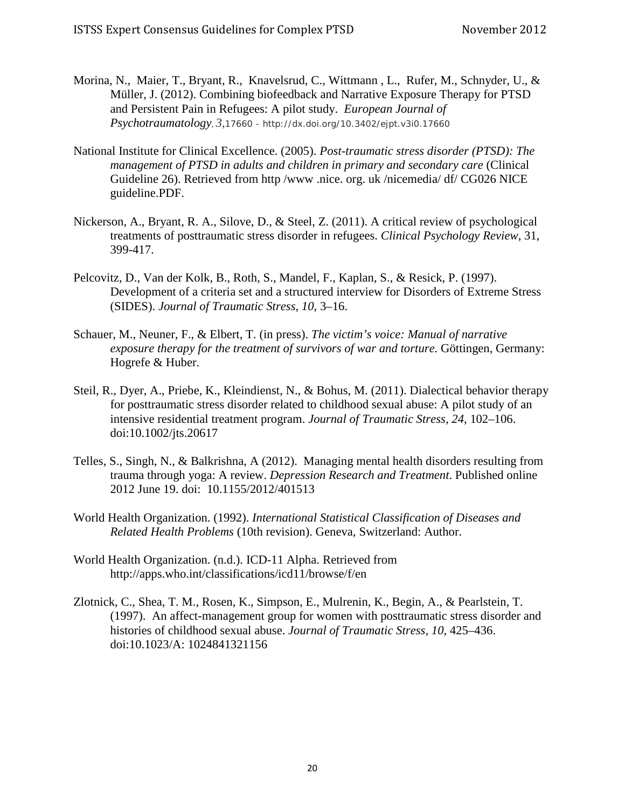- Morina, N., Maier, T., Bryant, R., Knavelsrud, C., Wittmann , L., Rufer, M., Schnyder, U., & Müller, J. (2012). Combining biofeedback and Narrative Exposure Therapy for PTSD and Persistent Pain in Refugees: A pilot study. *European Journal of Psychotraumatology, 3,*17660 - http://dx.doi.org/10.3402/ejpt.v3i0.17660
- National Institute for Clinical Excellence. (2005). *Post-traumatic stress disorder (PTSD): The management of PTSD in adults and children in primary and secondary care* (Clinical Guideline 26). Retrieved from http /www .nice. org. uk /nicemedia/ df/ CG026 NICE guideline.PDF.
- Nickerson, A., Bryant, R. A., Silove, D., & Steel, Z. (2011). A critical review of psychological treatments of posttraumatic stress disorder in refugees. *Clinical Psychology Review*, 31, 399-417.
- Pelcovitz, D., Van der Kolk, B., Roth, S., Mandel, F., Kaplan, S., & Resick, P. (1997). Development of a criteria set and a structured interview for Disorders of Extreme Stress (SIDES). *Journal of Traumatic Stress, 10*, 3–16.
- Schauer, M., Neuner, F., & Elbert, T. (in press). *The victim's voice: Manual of narrative exposure therapy for the treatment of survivors of war and torture.* Göttingen, Germany: Hogrefe & Huber.
- Steil, R., Dyer, A., Priebe, K., Kleindienst, N., & Bohus, M. (2011). Dialectical behavior therapy for posttraumatic stress disorder related to childhood sexual abuse: A pilot study of an intensive residential treatment program. *Journal of Traumatic Stress, 24*, 102–106. doi:10.1002/jts.20617
- Telles, S., Singh, N., & Balkrishna, A (2012). Managing mental health disorders resulting from trauma through yoga: A review. *Depression Research and Treatment*. Published online 2012 June 19. doi: 10.1155/2012/401513
- World Health Organization. (1992). *International Statistical Classification of Diseases and Related Health Problems* (10th revision). Geneva, Switzerland: Author.
- World Health Organization. (n.d.). ICD-11 Alpha. Retrieved from http://apps.who.int/classifications/icd11/browse/f/en
- Zlotnick, C., Shea, T. M., Rosen, K., Simpson, E., Mulrenin, K., Begin, A., & Pearlstein, T. (1997). An affect-management group for women with posttraumatic stress disorder and histories of childhood sexual abuse. *Journal of Traumatic Stress, 10*, 425–436. doi:10.1023/A: 1024841321156